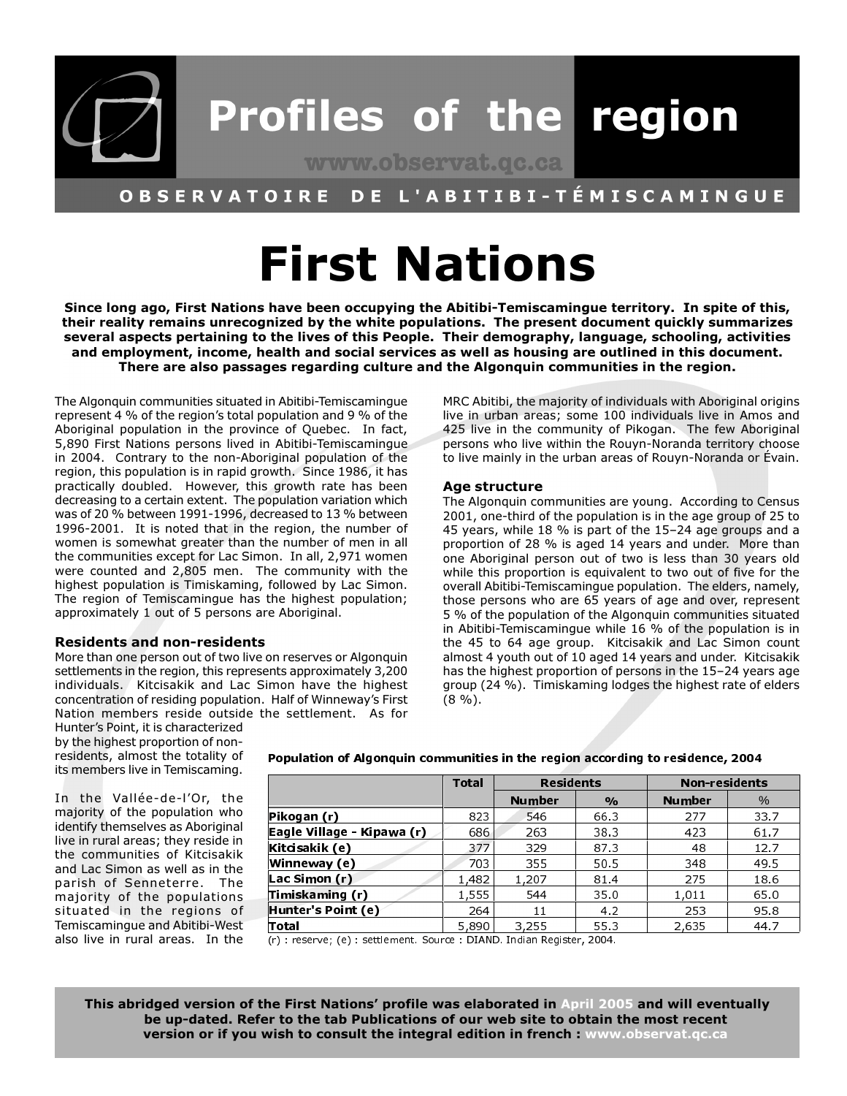

#### L'ABITIBI-TÉMISCAMINGUE OBSERVATOIRE DE.

# **First Nations**

Since long ago, First Nations have been occupying the Abitibi-Temiscamingue territory. In spite of this, their reality remains unrecognized by the white populations. The present document quickly summarizes several aspects pertaining to the lives of this People. Their demography, language, schooling, activities and employment, income, health and social services as well as housing are outlined in this document. There are also passages regarding culture and the Algonquin communities in the region.

The Algonquin communities situated in Abitibi-Temiscamingue represent 4 % of the region's total population and 9 % of the Aboriginal population in the province of Quebec. In fact, 5,890 First Nations persons lived in Abitibi-Temiscamingue in 2004. Contrary to the non-Aboriginal population of the region, this population is in rapid growth. Since 1986, it has practically doubled. However, this growth rate has been decreasing to a certain extent. The population variation which was of 20 % between 1991-1996, decreased to 13 % between 1996-2001. It is noted that in the region, the number of women is somewhat greater than the number of men in all the communities except for Lac Simon. In all, 2,971 women were counted and 2,805 men. The community with the highest population is Timiskaming, followed by Lac Simon. The region of Temiscamingue has the highest population; approximately 1 out of 5 persons are Aboriginal.

#### **Residents and non-residents**

More than one person out of two live on reserves or Algonguin settlements in the region, this represents approximately 3,200 individuals. Kitcisakik and Lac Simon have the highest concentration of residing population. Half of Winneway's First Nation members reside outside the settlement. As for

MRC Abitibi, the majority of individuals with Aboriginal origins live in urban areas; some 100 individuals live in Amos and 425 live in the community of Pikogan. The few Aboriginal persons who live within the Rouyn-Noranda territory choose to live mainly in the urban areas of Rouyn-Noranda or Évain.

#### Age structure

The Algonquin communities are young. According to Census 2001, one-third of the population is in the age group of 25 to 45 years, while 18 % is part of the 15-24 age groups and a proportion of 28 % is aged 14 years and under. More than one Aboriginal person out of two is less than 30 years old while this proportion is equivalent to two out of five for the overall Abitibi-Temiscamingue population. The elders, namely, those persons who are 65 years of age and over, represent 5 % of the population of the Algonquin communities situated in Abitibi-Temiscamingue while 16 % of the population is in the 45 to 64 age group. Kitcisakik and Lac Simon count almost 4 youth out of 10 aged 14 years and under. Kitcisakik has the highest proportion of persons in the 15-24 years age group (24 %). Timiskaming lodges the highest rate of elders  $(8\%).$ 

Hunter's Point, it is characterized by the highest proportion of nonresidents, almost the totality of its members live in Temiscaming.

In the Vallée-de-l'Or, the majority of the population who identify themselves as Aboriginal live in rural areas: they reside in the communities of Kitcisakik and Lac Simon as well as in the parish of Senneterre. The majority of the populations situated in the regions of Temiscamingue and Abitibi-West also live in rural areas. In the Population of Algonquin communities in the region according to residence, 2004

|                            | Total | <b>Residents</b> |               | <b>Non-residents</b> |      |
|----------------------------|-------|------------------|---------------|----------------------|------|
|                            |       | <b>Number</b>    | $\frac{0}{0}$ | <b>Number</b>        | %    |
| Pikogan (r)                | 823   | 546              | 66.3          | 277                  | 33.7 |
| Eagle Village - Kipawa (r) | 686   | 263              | 38.3          | 423                  | 61 7 |
| Kitcisakik (e)             | 377   | 329              | 873           | 48                   | 12.7 |
| Winneway (e)               | 703   | 355              | 50.5          | 348                  | 49.5 |
| Lac Simon (r)              | 1,482 | 1.207            | 81.4          | 275                  | 18.6 |
| Timiskaming (r)            | 1,555 | 544              | 35.0          | 1,011                | 65.0 |
| Hunter's Point (e)         | 264   | 11               | 4.2           | 253                  | 95.8 |
| Total                      | 5,890 | 3.255            | 55.3          | 2.635                | 44.7 |

(r) : reserve; (e) : settlement. Source : DIAND. Indian Register, 2004.

This abridged version of the First Nations' profile was elaborated in April 2005 and will eventually be up-dated. Refer to the tab Publications of our web site to obtain the most recent version or if you wish to consult the integral edition in french : www.observat.gc.ca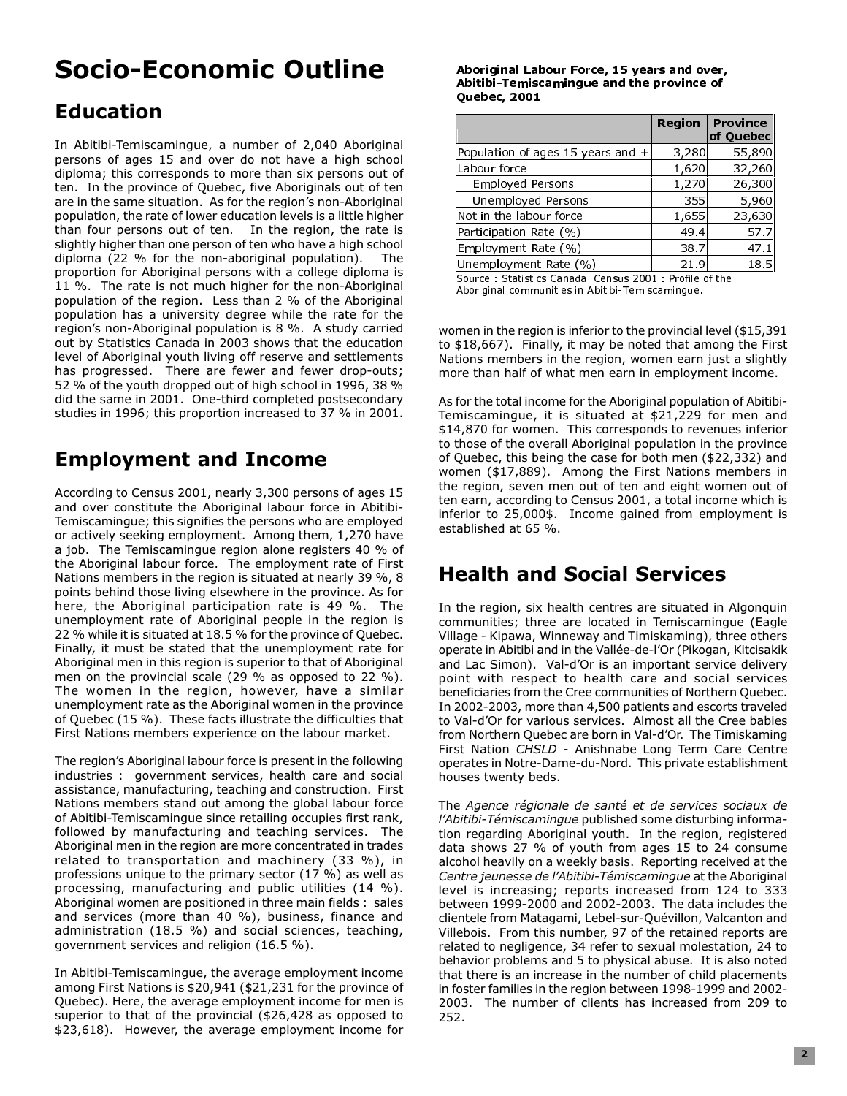## **Socio-Economic Outline**

## **Education**

In Abitibi-Temiscamingue, a number of 2,040 Aboriginal persons of ages 15 and over do not have a high school diploma; this corresponds to more than six persons out of ten. In the province of Quebec, five Aboriginals out of ten are in the same situation. As for the region's non-Aboriginal population, the rate of lower education levels is a little higher than four persons out of ten. In the region, the rate is slightly higher than one person of ten who have a high school diploma (22 % for the non-aboriginal population). The proportion for Aboriginal persons with a college diploma is 11 %. The rate is not much higher for the non-Aboriginal population of the region. Less than 2 % of the Aboriginal population has a university degree while the rate for the region's non-Aboriginal population is 8 %. A study carried out by Statistics Canada in 2003 shows that the education level of Aboriginal youth living off reserve and settlements has progressed. There are fewer and fewer drop-outs; 52 % of the youth dropped out of high school in 1996, 38 % did the same in 2001. One-third completed postsecondary studies in 1996; this proportion increased to 37 % in 2001.

## **Employment and Income**

According to Census 2001, nearly 3,300 persons of ages 15 and over constitute the Aboriginal labour force in Abitibi-Temiscamingue; this signifies the persons who are employed or actively seeking employment. Among them, 1,270 have a job. The Temiscamingue region alone registers 40 % of the Aboriginal labour force. The employment rate of First Nations members in the region is situated at nearly 39 %, 8 points behind those living elsewhere in the province. As for here, the Aboriginal participation rate is 49 %. The unemployment rate of Aboriginal people in the region is 22 % while it is situated at 18.5 % for the province of Quebec. Finally, it must be stated that the unemployment rate for Aboriginal men in this region is superior to that of Aboriginal men on the provincial scale (29 % as opposed to 22 %). The women in the region, however, have a similar unemployment rate as the Aboriginal women in the province of Quebec (15 %). These facts illustrate the difficulties that First Nations members experience on the labour market.

The region's Aboriginal labour force is present in the following industries : government services, health care and social assistance, manufacturing, teaching and construction. First Nations members stand out among the global labour force of Abitibi-Temiscamingue since retailing occupies first rank, followed by manufacturing and teaching services. The Aboriginal men in the region are more concentrated in trades related to transportation and machinery (33 %), in professions unique to the primary sector (17 %) as well as processing, manufacturing and public utilities (14 %). Aboriginal women are positioned in three main fields : sales and services (more than 40 %), business, finance and administration (18.5 %) and social sciences, teaching, government services and religion (16.5 %).

In Abitibi-Temiscamingue, the average employment income among First Nations is \$20,941 (\$21,231 for the province of Quebec). Here, the average employment income for men is superior to that of the provincial (\$26,428 as opposed to \$23,618). However, the average employment income for

#### Aboriginal Labour Force, 15 years and over, Abitibi-Temiscamingue and the province of **Quebec, 2001**

|       | of Quebec |
|-------|-----------|
|       |           |
| 3,280 | 55,890    |
| 1,620 | 32,260    |
| 1,270 | 26,300    |
| 355   | 5,960     |
| 1,655 | 23,630    |
| 49.4  | 57.7      |
| 38.7  | 47.1      |
| 21.9  | 18.5      |
|       |           |

Source: Statistics Canada, Census 2001 : Profile of the Aboriginal communities in Abitibi-Temiscamingue.

women in the region is inferior to the provincial level (\$15,391) to \$18,667). Finally, it may be noted that among the First Nations members in the region, women earn just a slightly more than half of what men earn in employment income.

As for the total income for the Aboriginal population of Abitibi-Temiscamingue, it is situated at \$21,229 for men and \$14,870 for women. This corresponds to revenues inferior to those of the overall Aboriginal population in the province of Quebec, this being the case for both men (\$22,332) and women (\$17,889). Among the First Nations members in the region, seven men out of ten and eight women out of ten earn, according to Census 2001, a total income which is inferior to 25,000\$. Income gained from employment is established at 65 %.

### **Health and Social Services**

In the region, six health centres are situated in Algonguin communities; three are located in Temiscamingue (Eagle Village - Kipawa, Winneway and Timiskaming), three others operate in Abitibi and in the Vallée-de-l'Or (Pikogan, Kitcisakik and Lac Simon). Val-d'Or is an important service delivery point with respect to health care and social services beneficiaries from the Cree communities of Northern Quebec. In 2002-2003, more than 4,500 patients and escorts traveled to Val-d'Or for various services. Almost all the Cree babies from Northern Quebec are born in Val-d'Or. The Timiskaming First Nation CHSLD - Anishnabe Long Term Care Centre operates in Notre-Dame-du-Nord. This private establishment houses twenty beds.

The Agence régionale de santé et de services sociaux de l'Abitibi-Témiscamingue published some disturbing information regarding Aboriginal youth. In the region, registered data shows 27 % of youth from ages 15 to 24 consume alcohol heavily on a weekly basis. Reporting received at the Centre jeunesse de l'Abitibi-Témiscamingue at the Aboriginal level is increasing; reports increased from 124 to 333 between 1999-2000 and 2002-2003. The data includes the clientele from Matagami, Lebel-sur-Quévillon, Valcanton and Villebois. From this number, 97 of the retained reports are related to negligence, 34 refer to sexual molestation, 24 to behavior problems and 5 to physical abuse. It is also noted that there is an increase in the number of child placements in foster families in the region between 1998-1999 and 2002-2003. The number of clients has increased from 209 to 252.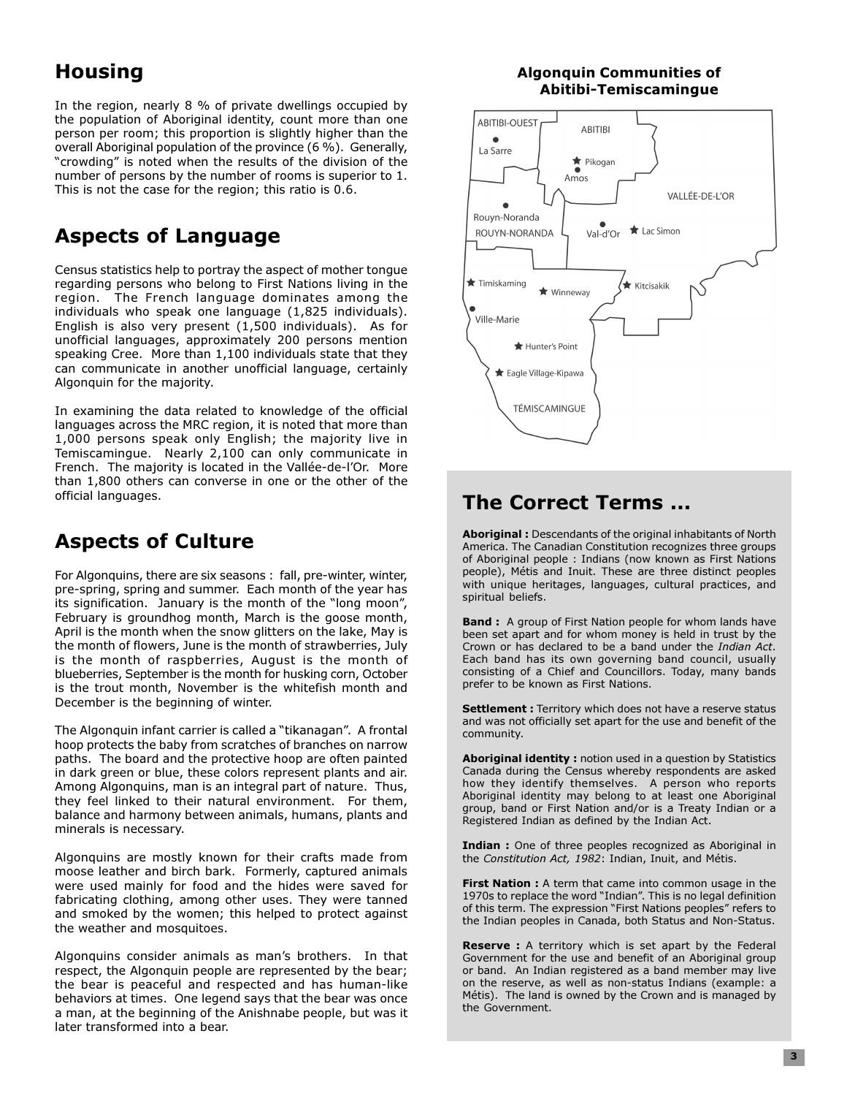## **Housing**

In the region, nearly 8 % of private dwellings occupied by the population of Aboriginal identity, count more than one person per room; this proportion is slightly higher than the overall Aboriginal population of the province (6 %). Generally, "crowding" is noted when the results of the division of the number of persons by the number of rooms is superior to 1. This is not the case for the region; this ratio is 0.6.

## **Aspects of Language**

Census statistics help to portray the aspect of mother tonque regarding persons who belong to First Nations living in the region. The French language dominates among the individuals who speak one language (1,825 individuals). English is also very present  $(1,500)$  individuals). As for unofficial languages, approximately 200 persons mention speaking Cree. More than 1,100 individuals state that they can communicate in another unofficial language, certainly Algonguin for the majority.

In examining the data related to knowledge of the official languages across the MRC region, it is noted that more than 1,000 persons speak only English; the majority live in Temiscamingue. Nearly 2,100 can only communicate in French. The majority is located in the Vallée-de-l'Or. More than 1,800 others can converse in one or the other of the official languages.

### **Aspects of Culture**

For Algonquins, there are six seasons: fall, pre-winter, winter, pre-spring, spring and summer. Each month of the year has its signification. January is the month of the "long moon", February is groundhog month, March is the goose month, April is the month when the snow glitters on the lake, May is the month of flowers, June is the month of strawberries, July is the month of raspberries, August is the month of blueberries, September is the month for husking corn, October is the trout month, November is the whitefish month and December is the beginning of winter.

The Algonquin infant carrier is called a "tikanagan". A frontal hoop protects the baby from scratches of branches on narrow paths. The board and the protective hoop are often painted in dark green or blue, these colors represent plants and air. Among Algonquins, man is an integral part of nature. Thus, they feel linked to their natural environment. For them, balance and harmony between animals, humans, plants and minerals is necessary.

Algonquins are mostly known for their crafts made from moose leather and birch bark. Formerly, captured animals were used mainly for food and the hides were saved for fabricating clothing, among other uses. They were tanned and smoked by the women; this helped to protect against the weather and mosquitoes.

Algonquins consider animals as man's brothers. In that respect, the Algonquin people are represented by the bear; the bear is peaceful and respected and has human-like behaviors at times. One legend says that the bear was once a man, at the beginning of the Anishnabe people, but was it later transformed into a bear.

#### **Algonquin Communities of** Abitibi-Temiscamingue



## **The Correct Terms ...**

Aboriginal: Descendants of the original inhabitants of North America. The Canadian Constitution recognizes three groups of Aboriginal people: Indians (now known as First Nations people), Métis and Inuit. These are three distinct peoples with unique heritages, languages, cultural practices, and spiritual beliefs.

**Band:** A group of First Nation people for whom lands have been set apart and for whom money is held in trust by the Crown or has declared to be a band under the Indian Act. Each band has its own governing band council, usually consisting of a Chief and Councillors. Today, many bands prefer to be known as First Nations.

Settlement : Territory which does not have a reserve status and was not officially set apart for the use and benefit of the community.

Aboriginal identity: notion used in a question by Statistics Canada during the Census whereby respondents are asked how they identify themselves. A person who reports Aboriginal identity may belong to at least one Aboriginal group, band or First Nation and/or is a Treaty Indian or a Registered Indian as defined by the Indian Act.

Indian : One of three peoples recognized as Aboriginal in the Constitution Act, 1982: Indian, Inuit, and Métis.

First Nation : A term that came into common usage in the 1970s to replace the word "Indian". This is no legal definition of this term. The expression "First Nations peoples" refers to the Indian peoples in Canada, both Status and Non-Status.

Reserve : A territory which is set apart by the Federal Government for the use and benefit of an Aboriginal group or band. An Indian registered as a band member may live on the reserve, as well as non-status Indians (example: a Métis). The land is owned by the Crown and is managed by the Government.